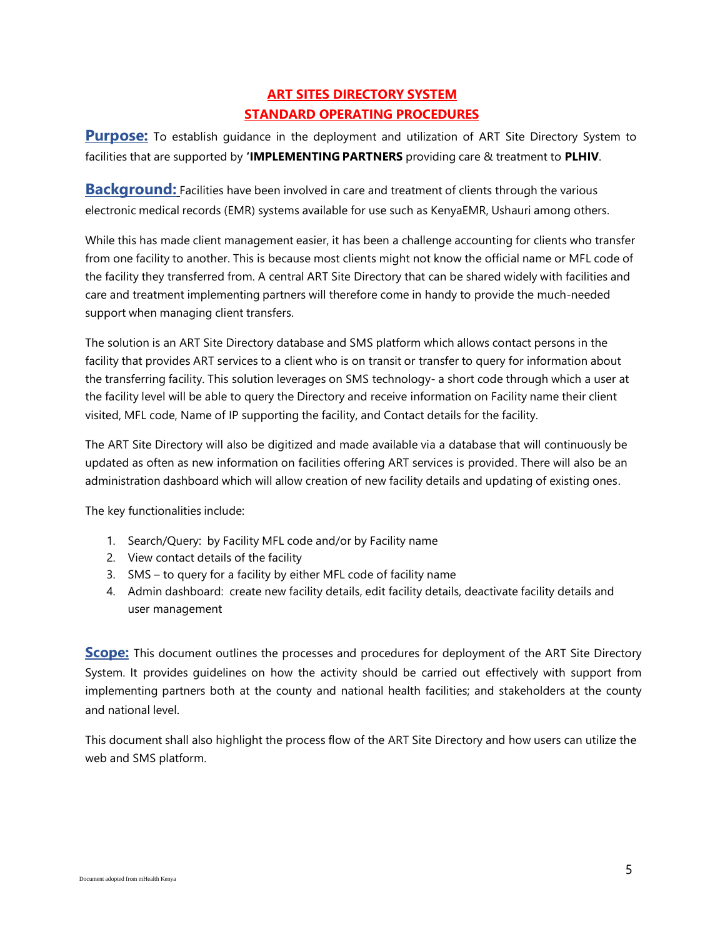## **ART SITES DIRECTORY SYSTEM STANDARD OPERATING PROCEDURES**

**Purpose:** To establish guidance in the deployment and utilization of ART Site Directory System to facilities that are supported by **'IMPLEMENTING PARTNERS** providing care & treatment to **PLHIV**.

**Background:** Facilities have been involved in care and treatment of clients through the various electronic medical records (EMR) systems available for use such as KenyaEMR, Ushauri among others.

While this has made client management easier, it has been a challenge accounting for clients who transfer from one facility to another. This is because most clients might not know the official name or MFL code of the facility they transferred from. A central ART Site Directory that can be shared widely with facilities and care and treatment implementing partners will therefore come in handy to provide the much-needed support when managing client transfers.

The solution is an ART Site Directory database and SMS platform which allows contact persons in the facility that provides ART services to a client who is on transit or transfer to query for information about the transferring facility. This solution leverages on SMS technology- a short code through which a user at the facility level will be able to query the Directory and receive information on Facility name their client visited, MFL code, Name of IP supporting the facility, and Contact details for the facility.

The ART Site Directory will also be digitized and made available via a database that will continuously be updated as often as new information on facilities offering ART services is provided. There will also be an administration dashboard which will allow creation of new facility details and updating of existing ones.

The key functionalities include:

- 1. Search/Query: by Facility MFL code and/or by Facility name
- 2. View contact details of the facility
- 3. SMS to query for a facility by either MFL code of facility name
- 4. Admin dashboard: create new facility details, edit facility details, deactivate facility details and user management

**Scope:** This document outlines the processes and procedures for deployment of the ART Site Directory System. It provides guidelines on how the activity should be carried out effectively with support from implementing partners both at the county and national health facilities; and stakeholders at the county and national level.

This document shall also highlight the process flow of the ART Site Directory and how users can utilize the web and SMS platform.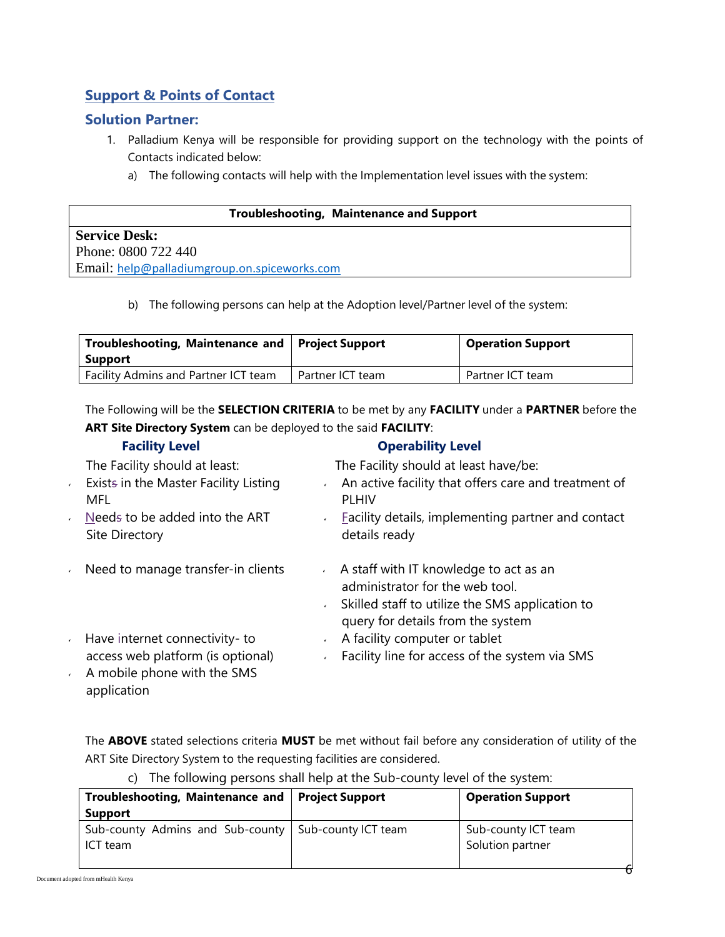# **Support & Points of Contact**

## **Solution Partner:**

- 1. Palladium Kenya will be responsible for providing support on the technology with the points of Contacts indicated below:
	- a) The following contacts will help with the Implementation level issues with the system:

| <b>Troubleshooting, Maintenance and Support</b> |
|-------------------------------------------------|
| <b>Service Desk:</b>                            |
| Phone: 0800 722 440                             |
| Email: help@palladiumgroup.on.spiceworks.com    |

b) The following persons can help at the Adoption level/Partner level of the system:

| Troubleshooting, Maintenance and   Project Support<br>Support |                  | <b>Operation Support</b> |
|---------------------------------------------------------------|------------------|--------------------------|
| Facility Admins and Partner ICT team                          | Partner ICT team | Partner ICT team         |

The Following will be the **SELECTION CRITERIA** to be met by any **FACILITY** under a **PARTNER** before the **ART Site Directory System** can be deployed to the said **FACILITY**:

|                   | <b>Facility Level</b>                                                                                             |                 | <b>Operability Level</b>                                                                                                                                          |
|-------------------|-------------------------------------------------------------------------------------------------------------------|-----------------|-------------------------------------------------------------------------------------------------------------------------------------------------------------------|
|                   | The Facility should at least:                                                                                     |                 | The Facility should at least have/be:                                                                                                                             |
| $\mathbf{v}$      | Exists in the Master Facility Listing<br><b>MFL</b>                                                               | ¥.              | An active facility that offers care and treatment of<br><b>PLHIV</b>                                                                                              |
| $\epsilon$        | Needs to be added into the ART<br>Site Directory                                                                  | ¥.              | Eacility details, implementing partner and contact<br>details ready                                                                                               |
| $\mathbf{v}$      | Need to manage transfer-in clients                                                                                | $\epsilon$<br>¥ | A staff with IT knowledge to act as an<br>administrator for the web tool.<br>Skilled staff to utilize the SMS application to<br>query for details from the system |
| $\mathbf{v}$<br>¥ | Have internet connectivity- to<br>access web platform (is optional)<br>A mobile phone with the SMS<br>application | v<br>v          | A facility computer or tablet<br>Facility line for access of the system via SMS                                                                                   |

The **ABOVE** stated selections criteria **MUST** be met without fail before any consideration of utility of the ART Site Directory System to the requesting facilities are considered.

| Troubleshooting, Maintenance and   Project Support     | <b>Operation Support</b> |  |
|--------------------------------------------------------|--------------------------|--|
| <b>Support</b>                                         |                          |  |
| Sub-county Admins and Sub-county   Sub-county ICT team | Sub-county ICT team      |  |
| ICT team                                               | Solution partner         |  |
|                                                        |                          |  |

### c) The following persons shall help at the Sub-county level of the system: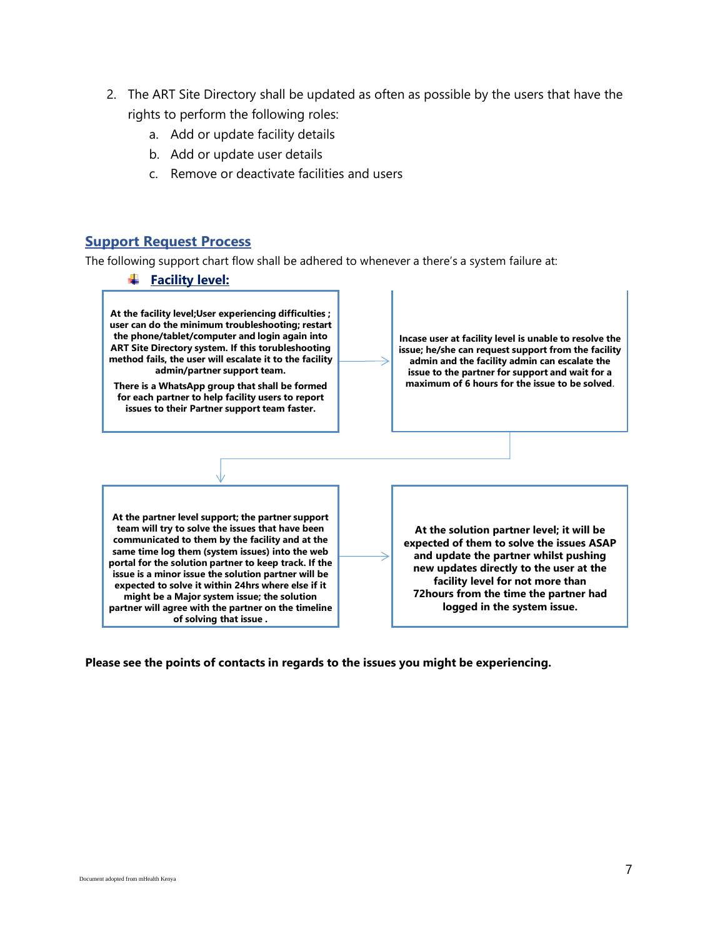- 2. The ART Site Directory shall be updated as often as possible by the users that have the rights to perform the following roles:
	- a. Add or update facility details
	- b. Add or update user details
	- c. Remove or deactivate facilities and users

### **Support Request Process**

The following support chart flow shall be adhered to whenever a there's a system failure at:



**Please see the points of contacts in regards to the issues you might be experiencing.**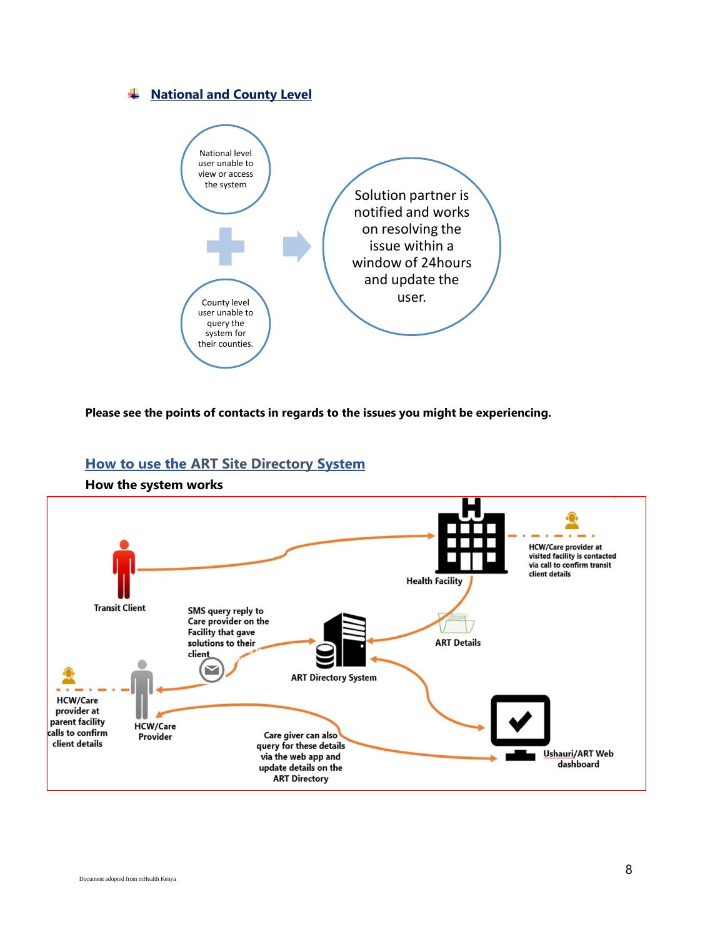### **National and County Level**



**Please see the points of contacts in regards to the issues you might be experiencing.**



## **How to use the ART Site Directory System**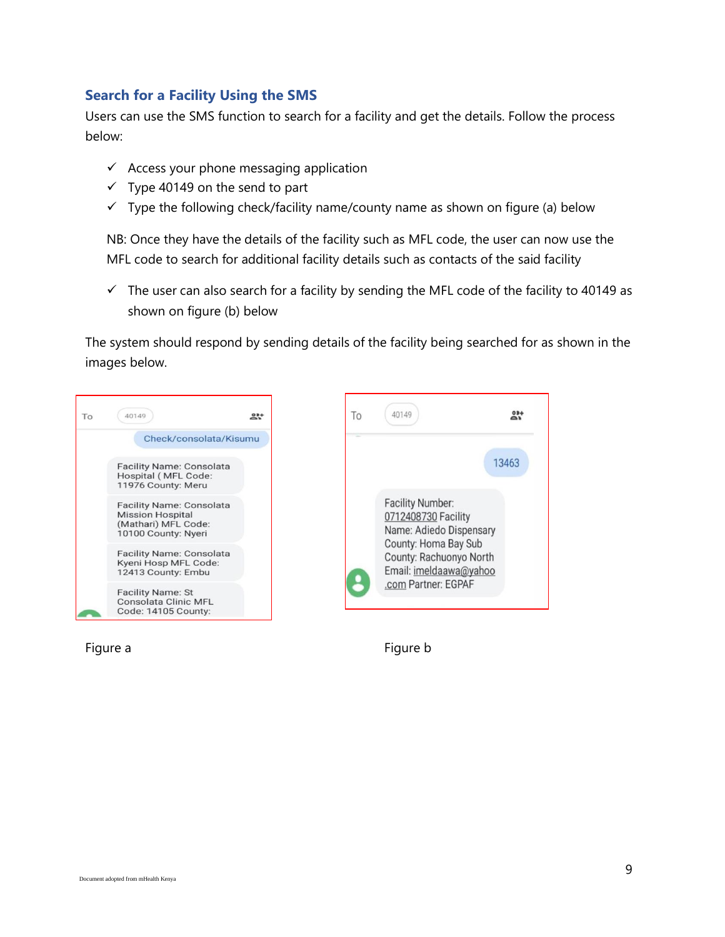## **Search for a Facility Using the SMS**

Users can use the SMS function to search for a facility and get the details. Follow the process below:

- $\checkmark$  Access your phone messaging application
- $\checkmark$  Type 40149 on the send to part
- $\checkmark$  Type the following check/facility name/county name as shown on figure (a) below

NB: Once they have the details of the facility such as MFL code, the user can now use the MFL code to search for additional facility details such as contacts of the said facility

 $\checkmark$  The user can also search for a facility by sending the MFL code of the facility to 40149 as shown on figure (b) below

The system should respond by sending details of the facility being searched for as shown in the images below.





Figure a Figure b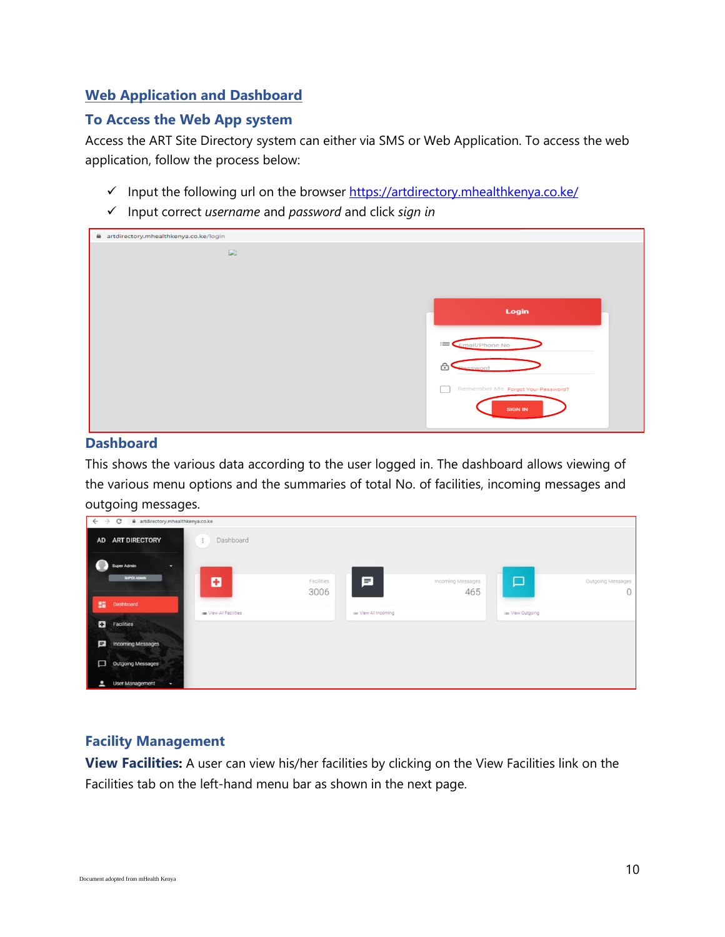## **Web Application and Dashboard**

### **To Access the Web App system**

Access the ART Site Directory system can either via SMS or Web Application. To access the web application, follow the process below:

- ✓ Input the following url on the browser<https://artdirectory.mhealthkenya.co.ke/>
- ✓ Input correct *username* and *password* and click *sign in*

| artdirectory.mhealthkenya.co.ke/login |                                       |
|---------------------------------------|---------------------------------------|
| $\mathbf{E}$                          |                                       |
|                                       |                                       |
|                                       |                                       |
|                                       |                                       |
|                                       | Login                                 |
|                                       |                                       |
|                                       | $\equiv \sum_{\text{Email/Phone No}}$ |
|                                       | ⊕                                     |
|                                       | Password                              |
|                                       | Remember Me Forgot Your Password?     |
|                                       | <b>SIGN IN</b>                        |
|                                       |                                       |

### **Dashboard**

This shows the various data according to the user logged in. The dashboard allows viewing of the various menu options and the summaries of total No. of facilities, incoming messages and outgoing messages.

| $\leftarrow$ $\rightarrow$ C | artdirectory.mhealthkenya.co.ke             |                              |                    |                      |                          |                  |                        |
|------------------------------|---------------------------------------------|------------------------------|--------------------|----------------------|--------------------------|------------------|------------------------|
| AD                           | <b>ART DIRECTORY</b>                        | Dashboard                    |                    |                      |                          |                  |                        |
|                              | <b>Super Admin</b><br>٠<br>SUPER ADMIN      | ۰                            | Facilities<br>3006 | 曰                    | Incoming Messages<br>465 | □                | Outgoing Messages<br>0 |
| 灩                            | Dashboard                                   | <b>E View All Facilities</b> |                    | Im View All Incoming |                          | Im View Outgoing |                        |
| о                            | Facilities                                  |                              |                    |                      |                          |                  |                        |
| 目                            | <b>Incoming Messages</b>                    |                              |                    |                      |                          |                  |                        |
| Ω<br>≞                       | <b>Outgoing Messages</b><br>User Management |                              |                    |                      |                          |                  |                        |

## **Facility Management**

**View Facilities:** A user can view his/her facilities by clicking on the View Facilities link on the Facilities tab on the left-hand menu bar as shown in the next page.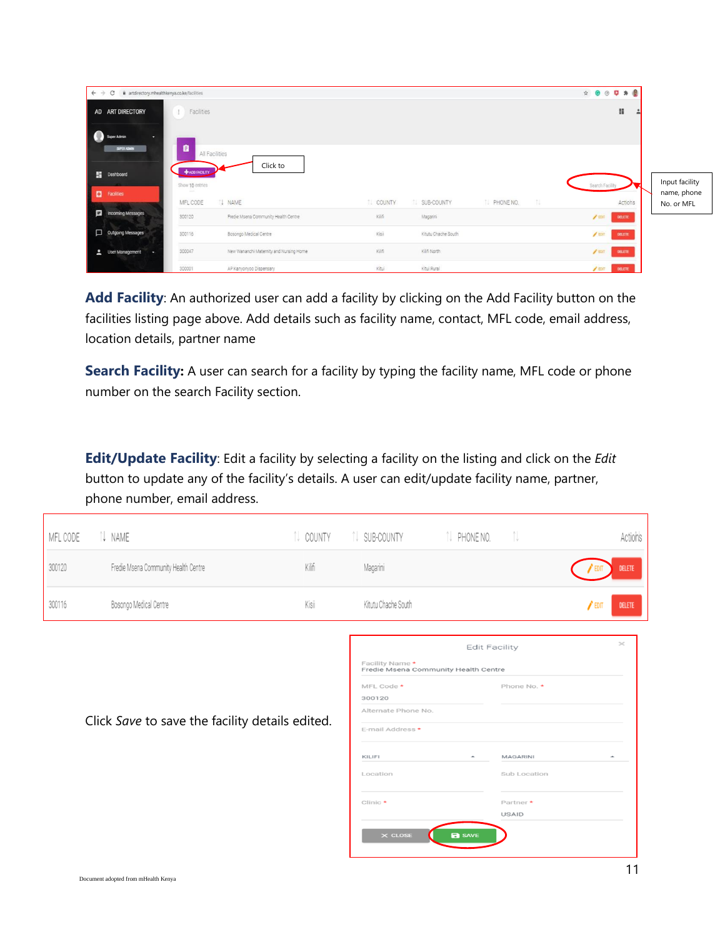| ii artdirectory.mhealthkenya.co.ke/facilities<br>$\leftarrow$ $\rightarrow$ C |                          |                                         |                 |                      |                |    | $\begin{smallmatrix}\n\mathbf{A} & \mathbf{B} & \mathbf{B} & \mathbf{C} \\ \mathbf{A} & \mathbf{B} & \mathbf{B} & \mathbf{B} & \mathbf{B}\n\end{smallmatrix}$ |         |                               |
|-------------------------------------------------------------------------------|--------------------------|-----------------------------------------|-----------------|----------------------|----------------|----|---------------------------------------------------------------------------------------------------------------------------------------------------------------|---------|-------------------------------|
| AD ART DIRECTORY                                                              | Facilities<br>$\ddot{z}$ |                                         |                 |                      |                |    |                                                                                                                                                               | H       |                               |
| Super Admin<br>$\ddot{}$                                                      |                          |                                         |                 |                      |                |    |                                                                                                                                                               |         |                               |
| SUPER ACMIN                                                                   | Ė                        | All Facilities<br>Click to              |                 |                      |                |    |                                                                                                                                                               |         |                               |
| <b>H</b> Dashboard                                                            | <b>+ADD FACILITY</b>     |                                         |                 |                      |                |    |                                                                                                                                                               |         |                               |
| <b>Pacifies</b>                                                               | Show 10 entries          |                                         |                 |                      |                |    | Search Facility                                                                                                                                               |         | Input facility<br>name, phone |
|                                                                               | MFL CODE                 | 1 NAME                                  | <b>L</b> COUNTY | <b>IL SUB-COUNTY</b> | T.L. PHONE NO. | ПU |                                                                                                                                                               | Actions | No. or MFL                    |
| Incoming Messages                                                             | 300120                   | Fredie Msena Community Health Centre    | Kilifi          | Magarini             |                |    | $F$ EDIT                                                                                                                                                      | DELETE  |                               |
| <b>Quitgoing Messages</b>                                                     | 300116                   | Bosongo Medical Centre                  | Kisii           | Kitutu Chache South  |                |    | / 100                                                                                                                                                         | DELETE  |                               |
| User Management<br>$\overline{\phantom{a}}$<br>ъ.                             | 300047                   | New Wananchi Maternity and Nursing Home | Kilfi           | Kilifi North         |                |    | $F$ EDIT                                                                                                                                                      | DELETE  |                               |
|                                                                               | 300001                   | AP Kanyonyoo Dispensary                 | Kitui           | Kitui Rural          |                |    | $\sqrt{EDT}$                                                                                                                                                  | DELETE  |                               |

**Add Facility**: An authorized user can add a facility by clicking on the Add Facility button on the facilities listing page above. Add details such as facility name, contact, MFL code, email address, location details, partner name

**Search Facility:** A user can search for a facility by typing the facility name, MFL code or phone number on the search Facility section.

**Edit/Update Facility**: Edit a facility by selecting a facility on the listing and click on the *Edit*  button to update any of the facility's details. A user can edit/update facility name, partner, phone number, email address.

| MFL CODE | î↓ NAME                              |        | ↑↓ COUNTY ↑↓ SUB-COUNTY | ↑↓ PHONE NO. | - TU | Actions               |
|----------|--------------------------------------|--------|-------------------------|--------------|------|-----------------------|
| 300120   | Fredie Msena Community Health Centre | Kiliti | Magarini                |              |      | DELETE                |
| 300116   | Bosongo Medical Centre               | Kisii  | Kitutu Chache South     |              |      | DELETE<br>$\sum$ EDIT |

Click *Save* to save the facility details edited.

| Fredie Msena Community Health Centre |  |
|--------------------------------------|--|
| Phone No. *                          |  |
|                                      |  |
|                                      |  |
|                                      |  |
| <b>MAGARINI</b>                      |  |
| Sub Location                         |  |
| Partner *                            |  |
| <b>USAID</b>                         |  |
| <b>B</b> SAVE                        |  |
|                                      |  |
|                                      |  |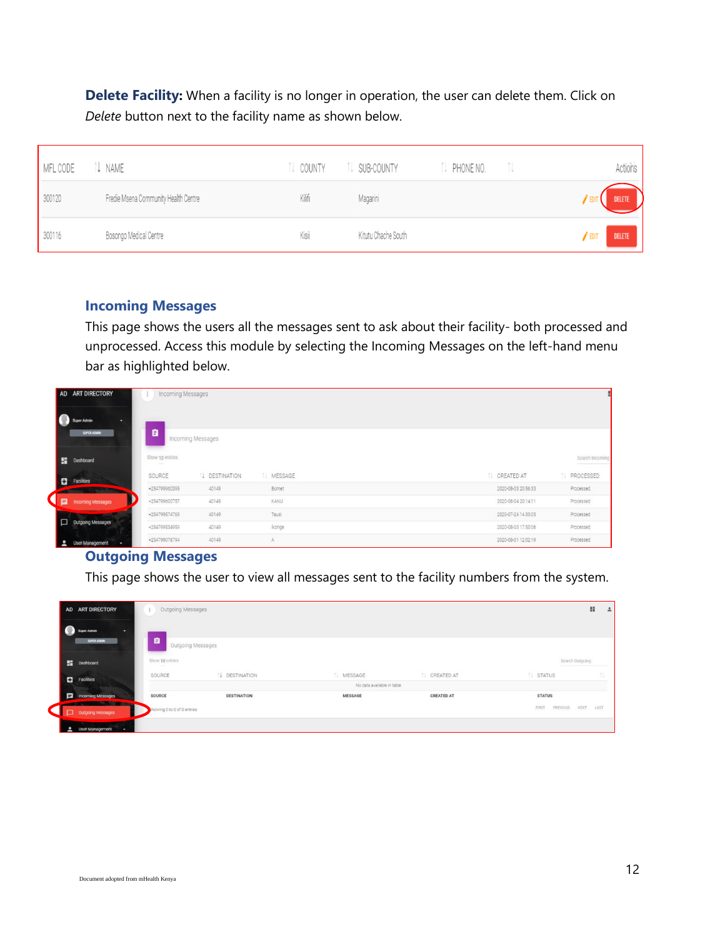**Delete Facility:** When a facility is no longer in operation, the user can delete them. Click on *Delete* button next to the facility name as shown below.

| MFL CODE | NAME                                 | ↑↓ COUNTY | ↑↓ SUB-COUNTY       | ↑↓ PHONE NO. | - TJ | Actions                   |
|----------|--------------------------------------|-----------|---------------------|--------------|------|---------------------------|
| 300120   | Fredie Msena Community Health Centre | Kiliti    | Magarini            |              |      | DELETE                    |
| 300116   | Bosongo Medical Centre               | Kisii     | Kitutu Chache South |              |      | DELETE<br>$\sqrt{2}$ edit |

#### **Incoming Messages**

This page shows the users all the messages sent to ask about their facility- both processed and unprocessed. Access this module by selecting the Incoming Messages on the left-hand menu bar as highlighted below.

| <b>AD</b> | <b>ART DIRECTORY</b>            | Incoming Messages                 |                       |            |                      |                     |
|-----------|---------------------------------|-----------------------------------|-----------------------|------------|----------------------|---------------------|
|           | <b>Super Admin</b><br>$\bullet$ |                                   |                       |            |                      |                     |
|           | SUPER AZAIDA                    | 自                                 | Incoming Messages     |            |                      |                     |
| в.        | Dashboard                       | Show 10 entries<br><b>Service</b> |                       |            |                      | Search Incoming     |
| Ð         | Facilities                      | SOURCE                            | <b>IL DESTINATION</b> | 1. MESSAGE | <b>1L CREATED AT</b> | <b>IL PROCESSED</b> |
|           |                                 | +254799960395                     | 40149                 | Bomet      | 2020-08-03 20:56:33  | Processed           |
|           | <b>Incoming Messages</b>        | +254799600757                     | 40149                 | KANU       | 2020-08-04 20:14:11  | Processed           |
|           |                                 | +254799574769                     | 40149                 | Tausi      | 2020-07-24 14:33:05  | Processed           |
| $\Box$    | <b>Outgoing Messages</b>        | +254799534959                     | 40149                 | Ikonge.    | 2020-08-03 17:50:06  | Processed           |
|           |                                 |                                   |                       |            |                      |                     |

#### **Outgoing Messages**

This page shows the user to view all messages sent to the facility numbers from the system.

|                | AD ART DIRECTORY         | Outgoing Messages                                                                                                                                                                                                                                                                                                                                                                                                                                                                             |                       |                            |                      |                                   | n<br>∸ |
|----------------|--------------------------|-----------------------------------------------------------------------------------------------------------------------------------------------------------------------------------------------------------------------------------------------------------------------------------------------------------------------------------------------------------------------------------------------------------------------------------------------------------------------------------------------|-----------------------|----------------------------|----------------------|-----------------------------------|--------|
|                | <b>Super Admin</b>       |                                                                                                                                                                                                                                                                                                                                                                                                                                                                                               |                       |                            |                      |                                   |        |
|                | SUPER ACMIN              | B<br>Outgoing Messages                                                                                                                                                                                                                                                                                                                                                                                                                                                                        |                       |                            |                      |                                   |        |
|                | <b>Dashboard</b>         | Show 10 entries<br>$\frac{1}{2} \left( \frac{1}{2} \right) \left( \frac{1}{2} \right) \left( \frac{1}{2} \right) \left( \frac{1}{2} \right) \left( \frac{1}{2} \right) \left( \frac{1}{2} \right) \left( \frac{1}{2} \right) \left( \frac{1}{2} \right) \left( \frac{1}{2} \right) \left( \frac{1}{2} \right) \left( \frac{1}{2} \right) \left( \frac{1}{2} \right) \left( \frac{1}{2} \right) \left( \frac{1}{2} \right) \left( \frac{1}{2} \right) \left( \frac{1}{2} \right) \left( \frac$ |                       |                            |                      | Search Outgoing                   |        |
|                | Facilities               | SOURCE                                                                                                                                                                                                                                                                                                                                                                                                                                                                                        | <b>IL DESTINATION</b> | TI MESSAGE                 | <b>IL CREATED AT</b> | <b>IL STATUS</b>                  | ti     |
|                |                          |                                                                                                                                                                                                                                                                                                                                                                                                                                                                                               |                       | No data available in table |                      |                                   |        |
| $\blacksquare$ | <b>Incoming Messages</b> | SOURCE                                                                                                                                                                                                                                                                                                                                                                                                                                                                                        | <b>DESTINATION</b>    | MESSAGE                    | <b>CREATED AT</b>    | <b>STATUS</b>                     |        |
|                | Outgoing Messages        | Chowing 0 to 0 of 0 entries                                                                                                                                                                                                                                                                                                                                                                                                                                                                   |                       |                            |                      | <b>FIRST</b><br>NEXT<br>PREVIOUS. | LAST   |
|                | User Management          |                                                                                                                                                                                                                                                                                                                                                                                                                                                                                               |                       |                            |                      |                                   |        |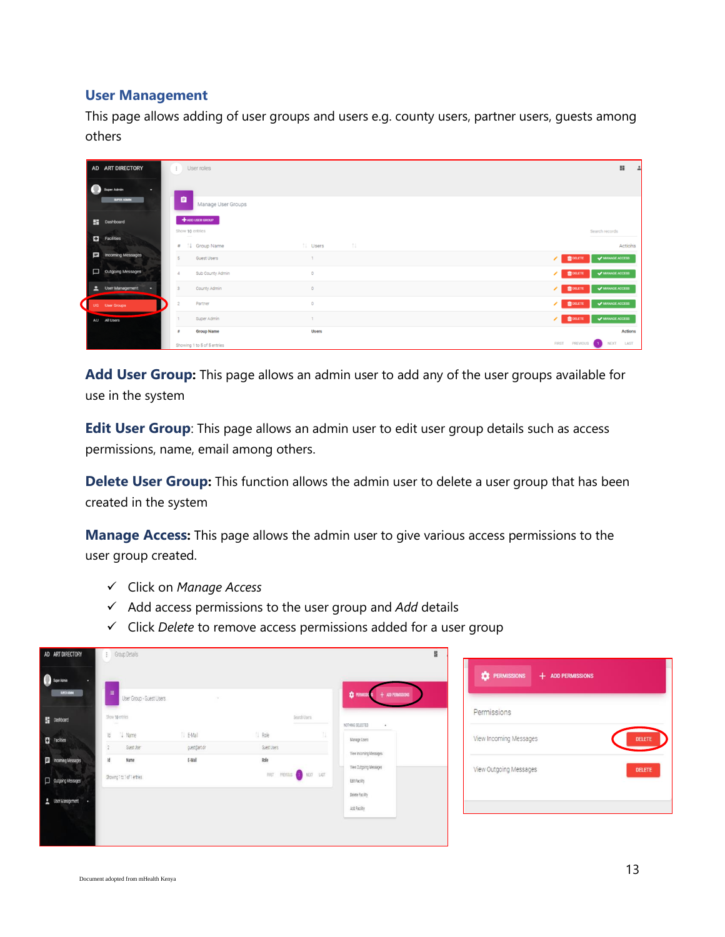### **User Management**

This page allows adding of user groups and users e.g. county users, partner users, guests among others

| AD ART DIRECTORY                                                                     |              | User roles                                 |                              |    | n                                                                                              |
|--------------------------------------------------------------------------------------|--------------|--------------------------------------------|------------------------------|----|------------------------------------------------------------------------------------------------|
| <b>Super Admin</b><br>SUPER ADMIN                                                    | $\sim$       | 自                                          |                              |    |                                                                                                |
|                                                                                      |              | Manage User Groups                         |                              |    |                                                                                                |
| <b>En</b> Dashboard                                                                  |              | <b>+</b> ADD USER GROUP<br>Show 10 entries |                              |    | Search records                                                                                 |
| <b>Ed</b> Facilities<br><b>SAN BAR</b><br>$\blacksquare$<br><b>Incoming Messages</b> |              | #   Group Name                             | <b>IL Users</b>              | 11 | Actions                                                                                        |
| $\Box$<br><b>Outgoing Messages</b>                                                   | 4            | Guest Users<br>Sub County Admin            | $\mathbf{1}$<br>$\circ$      |    | <b>V MANAGE ACCESS</b><br><b>BOELETE</b><br>╭<br><b>BOELETE</b><br><b>V MANAGE ACCESS</b><br>╭ |
| $\overline{\phantom{a}}$<br>User Management                                          | $\mathbf{3}$ | County Admin                               | $\circ$                      |    | <b>BOELETE</b><br><b>V MANAGE ACCESS</b><br>$\lambda$                                          |
| <b>UG</b> User Groups                                                                |              | Partner                                    | $\circ$                      |    | <b>BOELETE</b><br><b>V MANAGE ACCESS</b><br>╭                                                  |
| AU All Users                                                                         |              | Super Admin<br><b>Group Name</b>           | $\mathbf{I}$<br><b>Users</b> |    | <b>BOILETE</b><br><b>V MANAGE ACCESS</b><br>╭<br><b>Actions</b>                                |
|                                                                                      |              | Showing 1 to 5 of 5 entries                |                              |    | <b>FIRST</b><br><b>PREVIOUS</b><br>NEXT LAST<br>61                                             |

**Add User Group:** This page allows an admin user to add any of the user groups available for use in the system

**Edit User Group**: This page allows an admin user to edit user group details such as access permissions, name, email among others.

**Delete User Group:** This function allows the admin user to delete a user group that has been created in the system

**Manage Access:** This page allows the admin user to give various access permissions to the user group created.

- ✓ Click on *Manage Access*
- ✓ Add access permissions to the user group and *Add* details
- ✓ Click *Delete* to remove access permissions added for a user group

| AD ART DIRECTORY                                        | <b>E</b> Group Details                         |                                   |                                   | H                                                                |                                           |
|---------------------------------------------------------|------------------------------------------------|-----------------------------------|-----------------------------------|------------------------------------------------------------------|-------------------------------------------|
| Siper Admin<br>٠<br>373.00                              | $\equiv$<br>User Group - Guest Users           | w                                 |                                   | + ADD PERMISSIONS<br><b>TE FEMASS</b>                            | <b>T</b> PERMISSIONS<br>+ ADD PERMISSIONS |
| <b>Dashboard</b>                                        | Show 10 entries<br>$\sim$                      |                                   | Search Users                      | NOTHING SELECTED<br>$\bullet$                                    | Permissions                               |
| <b>D</b> Facilities                                     | Id.<br>"I Name<br>Guest User<br>2 <sup>1</sup> | <b>IL E-Mail</b><br>quest@art.dir | <b>11</b> Role<br>Guest Users     | Manage Users                                                     | View Incoming Messages<br><b>DELETE</b>   |
| <b>Ed Incoming Messages</b><br>$\Box$ Outgoing Messages | 14<br>Name<br>Showing 1 to 1 of 1 entries      | E-Mail                            | Role<br>FIRST FREVOLS I NEXT LAST | Vew incoming Messages<br>View Outgoing Messages<br>Edit Facility | View Outgoing Messages<br>DELETE          |
| User Management                                         |                                                |                                   |                                   | Delete Facility<br>Add Facility                                  |                                           |
|                                                         |                                                |                                   |                                   |                                                                  |                                           |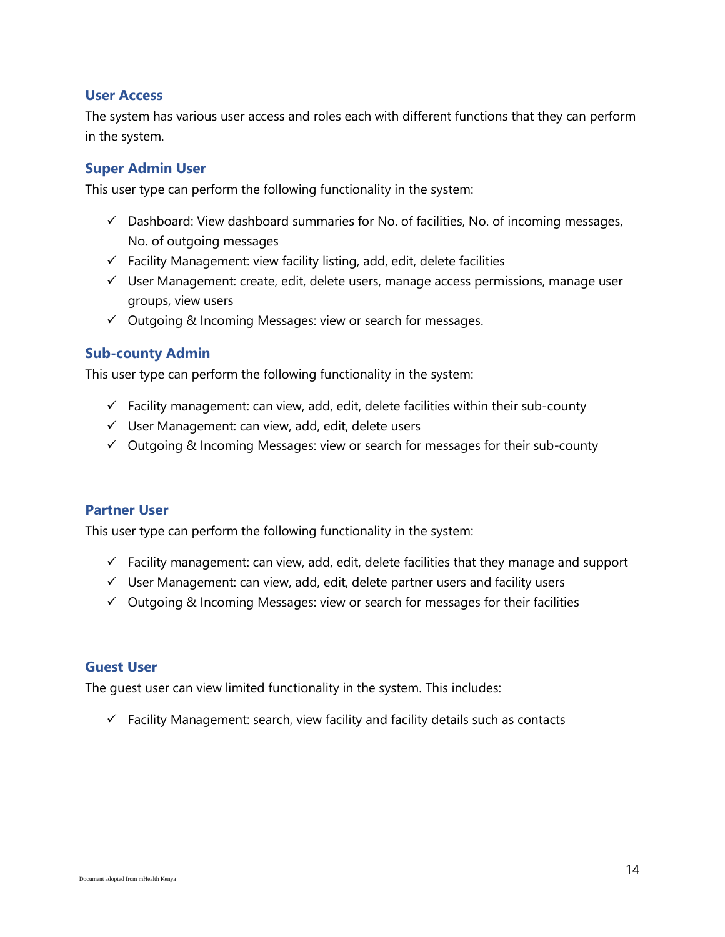### **User Access**

The system has various user access and roles each with different functions that they can perform in the system.

### **Super Admin User**

This user type can perform the following functionality in the system:

- $\checkmark$  Dashboard: View dashboard summaries for No. of facilities, No. of incoming messages, No. of outgoing messages
- $\checkmark$  Facility Management: view facility listing, add, edit, delete facilities
- $\checkmark$  User Management: create, edit, delete users, manage access permissions, manage user groups, view users
- ✓ Outgoing & Incoming Messages: view or search for messages.

### **Sub-county Admin**

This user type can perform the following functionality in the system:

- $\checkmark$  Facility management: can view, add, edit, delete facilities within their sub-county
- ✓ User Management: can view, add, edit, delete users
- $\checkmark$  Outgoing & Incoming Messages: view or search for messages for their sub-county

### **Partner User**

This user type can perform the following functionality in the system:

- $\checkmark$  Facility management: can view, add, edit, delete facilities that they manage and support
- $\checkmark$  User Management: can view, add, edit, delete partner users and facility users
- $\checkmark$  Outgoing & Incoming Messages: view or search for messages for their facilities

### **Guest User**

The guest user can view limited functionality in the system. This includes:

 $\checkmark$  Facility Management: search, view facility and facility details such as contacts